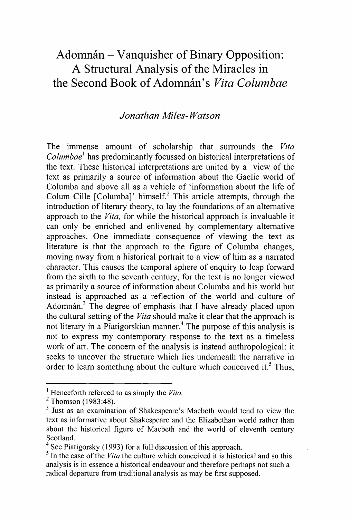## Adomnán – Vanquisher of Binary Opposition: A Structural Analysis of the Miracles in the Second Book of Adomnán's *Vita Columbae*

## *Jonathan Miles-Watson*

The immense amount of scholarship that surrounds the Vita *Columbae*<sup>1</sup> has predominantly focussed on historical interpretations of the text. These historical interpretations are united by a view of the text as primarily a source of information about the Gaelic world of Columba and above all as a vehicle of 'information about the life of Colum Cille  $[Columna]$ ' himself.<sup>2</sup> This article attempts, through the introduction of literary theory, to lay the foundations of an alternative approach to the *Vita*, for while the historical approach is invaluable it can only be enriched and enlivened by complementary alternative approaches. One immediate consequence of viewing the text as literature is that the approach to the figure of Columba changes, moving away from a historical portrait to a view of him as a narrated character. This causes the temporal sphere of enquiry to leap forward from the sixth to the seventh century, for the text is no longer viewed as primarily a source of information about Columba and his world but instead is approached as a reflection of the world and culture of Adomnán.<sup>3</sup> The degree of emphasis that I have already placed upon the cultural setting of the *Vita* should make it clear that the approach is not literary in a Piatigorskian manner.<sup>4</sup> The purpose of this analysis is not to express my contemporary response to the text as a timeless work of art. The concern of the analysis is instead anthropological: it seeks to uncover the structure which lies underneath the narrative in order to learn something about the culture which conceived it.<sup>5</sup> Thus,

<sup>&</sup>lt;sup>1</sup> Henceforth refereed to as simply the *Vita*.

 $2$  Thomson (1983:48).

<sup>&</sup>lt;sup>3</sup> Just as an examination of Shakespeare's Macbeth would tend to view the text as informative about Shakespeare and the Elizabethan world rather than about the historical figure of Macbeth and the world of eleventh century Scotland.

<sup>4</sup> See Piatigorsky (1993) for a full discussion of this approach.

 $<sup>5</sup>$  In the case of the *Vita* the culture which conceived it is historical and so this</sup> analysis is in essence a historical endeavour and therefore perhaps not such a radical departure from traditional analysis as may be first supposed.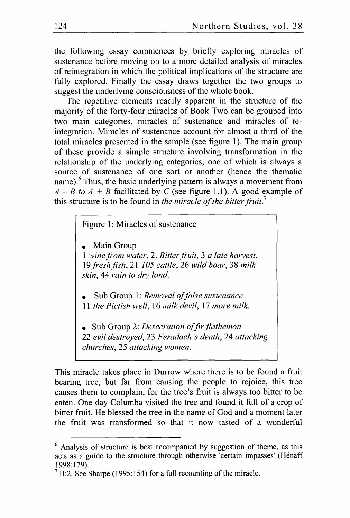the following essay commences by briefly exploring miracles of sustenance before moving on to a more detailed analysis of miracles of reintegration in which the political implications of the structure are fully explored. Finally the essay draws together the two groups to suggest the underlying consciousness of the whole book.

The repetitive elements readily apparent in the structure of the majority of the forty-four miracles of Book Two can be grouped into two main categories, miracles of sustenance and miracles of reintegration. Miracles of sustenance account for ahnost a third of the total miracles presented in the sample (see figure 1). The main group of these provide a simple structure involving transformation in the relationship of the underlying categories, one of which is always a source of sustenance of one sort or another (hence the thematic name).<sup>6</sup> Thus, the basic underlying pattern is always a movement from  $A - B$  *to*  $A + B$  facilitated by C (see figure 1.1). A good example of this structure is to be found in *the miracle of the bitter fruit.*<sup>7</sup>

Figure 1: Miracles of sustenance

• Main Group

1 *wine fronl water,* 2. *Bitterji,ouit,* 3 *a late harvest, 19,freshjish,* 21 *105 cattle,* 26 *wild boar,* 38 *milk skin,* 44 *rain to dry land.*

• Sub Group 1: *Removal of false sustenance* 11 *the Pictish well,* 16 *milk devil,* 17 *more milk.*

• Sub Group 2: *Desecration offir,llathemon 22 evil destroyed,* 23 *Feradach's death,* 24 *attacking churches,* 25 *attacking women,*

This miracle takes place in Durrow where there is to be found a fruit bearing tree, but far from causing the people to rejoice, this tree causes them to complain, for the tree's fruit is always too bitter to be eaten. One day Columba visited the tree and found it full of a crop of bitter fruit. He blessed the tree in the name of God and a moment later the fruit was transformed so that it now tasted of a wonderful

 $6$  Analysis of structure is best accompanied by suggestion of theme, as this acts as a guide to the structure through otherwise 'certain impasses' (Henaff 1998:] 79).

 $<sup>7</sup>$  II:2. See Sharpe (1995:154) for a full recounting of the miracle.</sup>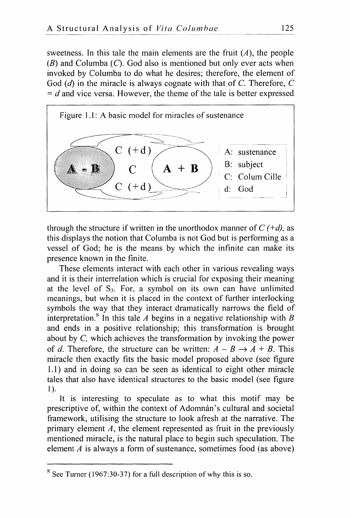sweetness. In this tale the main elements are the fruit  $(A)$ , the people  $(B)$  and Columba  $(C)$ . God also is mentioned but only ever acts when invoked by Columba to do what he desires; therefore, the element of God  $(d)$  in the miracle is always cognate with that of C. Therefore, C  $= d$  and vice versa. However, the theme of the tale is better expressed



through the structure if written in the unorthodox manner of C *(+d),* as this displays the notion that Columba is not God but is performing as a vessel of God; he is the means by which the infinite can make its presence known in the finite.

These elements interact with each other in various revealing ways and it is their interrelation which is crucial for exposing their meaning at the level of  $S_3$ . For, a symbol on its own can have unlimited meanings, but when it is placed in the context of further interlocking symbols the way that they interact dramatically narrows the field of interpretation.<sup>8</sup> In this tale *A* begins in a negative relationship with *B* and ends in a positive relationship; this transformation is brought about by  $C$ , which achieves the transformation by invoking the power of *d*. Therefore, the structure can be written:  $A - B \rightarrow A + B$ . This miracle then exactly fits the basic model proposed above (see figure 1.1) and in doing so can be seen as identical to eight other miracle tales that also have identical structures to the basic model (see figure 1).

It is interesting to speculate as to what this motif may be prescriptive of, within the context of Adomnán's cultural and societal framework, utilising the structure to look afresh at the narrative. The primary element  $A$ , the element represented as fruit in the previously mentioned miracle, is the natural place to begin such speculation. The element  $A$  is always a form of sustenance, sometimes food (as above)

See Turner (1967:30-37) for a full description of why this is so.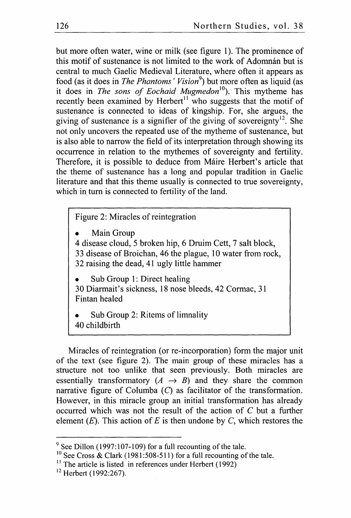but more often water, wine or milk (see figure 1). The prominence of this motif of sustenance is not limited to the work of Adomnán but is central to much Gaelic Medieval Literature, where often it appears as food (as it does in *The Phantoms' Vision*<sup>9</sup>) but more often as liquid (as it does in *The sons of Eochaid Mugmedon*<sup>10</sup>). This mytheme has recently been examined by Herbert<sup> $11$ </sup> who suggests that the motif of sustenance is connected to ideas of kingship. For, she argues, the giving of sustenance is a signifier of the giving of sovereignty<sup>12</sup>. She not only uncovers the repeated use of the mytheme of sustenance, but is also able to narrow the field of its interpretation through showing its occurrence in relation to the mythemes of sovereignty and fertility. Therefore, it is possible to deduce from Maire Herbert's article that the theme of sustenance has a long and popular tradition in Gaelic literature and that this theme usually is connected to true sovereignty, which in turn is connected to fertility of the land.

Figure 2: Miracles of reintegration

Main Group

4 disease cloud, 5 broken hip, 6 Druim Cett, 7 salt block, 33 disease of Broichan, 46 the plague, 10 water from rock, 32 raising the dead, 41 ugly little hammer

Sub Group 1: Direct healing

30 Diarmait's sickness, 18 nose bleeds, 42 Cormac, 31 Fintan healed

Sub Group 2: Ritems of limnality 40 childbirth

Miracles of reintegration (or re-incorporation) form the major unit of the text (see figure 2). The main group of these miracles has a structure not too unlike that seen previously. Both miracles are essentially transformatory  $(A \rightarrow B)$  and they share the common narrative figure of Columba (C) as facilitator of the transformation. However, in this miracle group an initial transformation has already occurred which was not the result of the action of C but a further element  $(E)$ . This action of  $E$  is then undone by  $C$ , which restores the

 $9^9$  See Dillon (1997:107-109) for a full recounting of the tale.

<sup>&</sup>lt;sup>10</sup> See Cross  $\&$  Clark (1981:508-511) for a full recounting of the tale.

<sup>&</sup>lt;sup>11</sup> The article is listed in references under Herbert (1992)

<sup>&</sup>lt;sup>12</sup> Herbert (1992:267).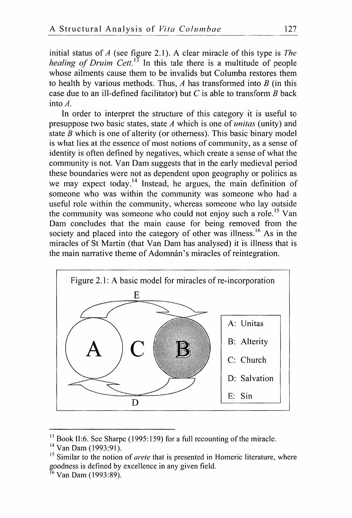initial status of  $A$  (see figure 2.1). A clear miracle of this type is *The healing of Druim Cett.*<sup>13</sup> In this tale there is a multitude of people whose ailments cause them to be invalids but Columba restores them to health by various methods. Thus,  $A$  has transformed into  $B$  (in this case due to an ill-defined facilitator) but C is able to transform  $B$  back into A.

In order to interpret the structure of this category it is useful to presuppose two basic states, state *A* which is one of *unitas* (unity) and state  $B$  which is one of alterity (or otherness). This basic binary model is what lies at the essence of most notions of community, as a sense of identity is often defined by negatives, which create a sense of what the community is not. Van Dam suggests that in the early medieval period these boundaries were not as dependent upon geography or politics as we may expect today.<sup>14</sup> Instead, he argues, the main definition of someone who was within the community was someone who had a useful role within the community, whereas someone who lay outside the community was someone who could not enjoy such a role.<sup>15</sup> Van Dam concludes that the main cause for being removed from the society and placed into the category of other was illness.<sup>16</sup> As in the miracles of St Martin (that Van Dam has analysed) it is illness that is the main narrative theme of Adomnán's miracles of reintegration.



 $13$  Book II:6. See Sharpe (1995:159) for a full recounting of the miracle.

 $14$  Van Dam (1993:91).

<sup>&</sup>lt;sup>15</sup> Similar to the notion of *arete* that is presented in Homeric literature, where goodness is defined by excellence in any given field.

<sup>&</sup>lt;sup>16</sup> Van Dam (1993:89).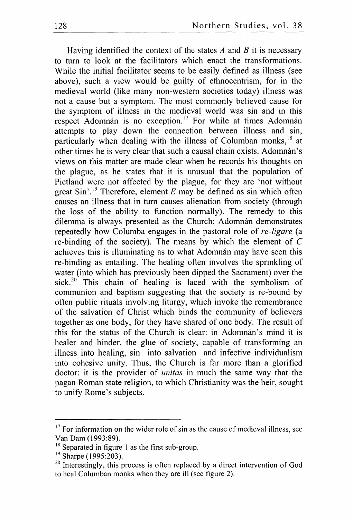Having identified the context of the states *A* and *B* it is necessary to turn to look at the facilitators which enact the transformations. While the initial facilitator seems to be easily defined as illness (see above), such a view would be guilty of ethnocentrism, for in the medieval world (like many non-western societies today) illness was not a cause but a symptom. The most commonly believed cause for the symptom of illness in the medieval world was sin and in this respect Adomnán is no exception.<sup>17</sup> For while at times Adomnán attempts to play down the connection between illness and sin, particularly when dealing with the illness of Columban monks,<sup>18</sup> at other times he is very clear that such a causal chain exists. Adomnán's views on this matter are made clear when he records his thoughts on the plague, as he states that it is unusual that the population of Pictland were not affected by the plague, for they are 'not without great Sin'.<sup>19</sup> Therefore, element E may be defined as sin which often causes an illness that in turn causes alienation from society (through the loss of the ability to function normally). The remedy to this dilemma is always presented as the Church; Adomnán demonstrates repeatedly how Columba engages in the pastoral role of *re-ligare* (a re-binding of the society). The means by which the element of  $C$ achieves this is illuminating as to what Adomnán may have seen this re-binding as entailing. The healing often involves the sprinkling of water (into which has previously been dipped the Sacrament) over the sick.<sup>20</sup> This chain of healing is laced with the symbolism of communion and baptism suggesting that the society is re-bound by often public rituals involving liturgy, which invoke the remembrance of the salvation of Christ which binds the community of believers together as one body, for they have shared of one body. The result of this for the status of the Church is clear: in Adomnán's mind it is healer and binder, the glue of society, capable of transforming an illness into healing, sin into salvation and infective individualism into cohesive unity. Thus, the Church is far more than a glorified doctor: it is the provider of *unitas* in much the same way that the pagan Roman state religion, to which Christianity was the heir, sought to unify Rome's subjects.

 $17$  For information on the wider role of sin as the cause of medieval illness, see Van Dam (1993:89).

<sup>&</sup>lt;sup>18</sup> Separated in figure 1 as the first sub-group.

<sup>&</sup>lt;sup>19</sup> Sharpe (1995:203).

 $20$  Interestingly, this process is often replaced by a direct intervention of God to heal Columban monks when they are ill (see figure 2).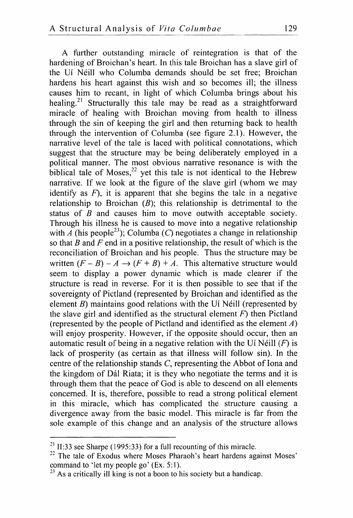A further outstanding miracle of reintegration is that of the hardening of Broichan's heart. In this tale Broichan has a slave girl of the Uí Néill who Columba demands should be set free; Broichan hardens his heart against this wish and so becomes ill; the illness causes him to recant, in light of which Columba brings about his healing.<sup>21</sup> Structurally this tale may be read as a straightforward miracle of healing with Broichan moving from health to illness through the sin of keeping the girl and then returning back to health through the intervention of Columba (see figure 2.1). However, the narrative level of the tale is laced with political connotations, which suggest that the structure may be being deliberately employed in a political manner. The most obvious narrative resonance is with the biblical tale of Moses, $^{22}$  yet this tale is not identical to the Hebrew narrative. If we look at the figure of the slave girl (whom we may identify as  $F$ ), it is apparent that she begins the tale in a negative relationship to Broichan  $(B)$ ; this relationship is detrimental to the status of  $\overline{B}$  and causes him to move outwith acceptable society. Through his illness he is caused to move into a negative relationship with  $\tilde{A}$  (his people<sup>23</sup>); Columba (C) negotiates a change in relationship so that B and F end in a positive relationship, the result of which is the reconciliation of Broichan and his people. Thus the structure may be written  $(F - B) - A \rightarrow (F + B) + A$ . This alternative structure would seem to display a power dynamic which is made clearer if the structure is read in reverse. For it is then possible to see that if the sovereignty of Pictland (represented by Broichan and identified as the element  $B$ ) maintains good relations with the Ui Néill (represented by the slave girl and identified as the structural element *F)* then Pictland (represented by the people of Pictland and identified as the element  $A$ ) will enjoy prosperity. However, if the opposite should occur, then an automatic result of being in a negative relation with the Ui Neill  $(F)$  is lack of prosperity (as certain as that illness will follow sin). In the centre of the relationship stands  $C$ , representing the Abbot of Iona and the kingdom of Dál Riata; it is they who negotiate the terms and it is through them that the peace of God is able to descend on all elements concerned. It is, therefore, possible to read a strong political element in this miracle, which has complicated the structure causing a divergence away from the basic model. This miracle is far from the sole example of this change and an analysis of the structure allows

<sup>&</sup>lt;sup>21</sup> II:33 see Sharpe (1995:33) for a full recounting of this miracle.

 $22$  The tale of Exodus where Moses Pharaoh's heart hardens against Moses' command to 'let my people go' (Ex. 5:1).

 $^{23}$  As a critically ill king is not a boon to his society but a handicap.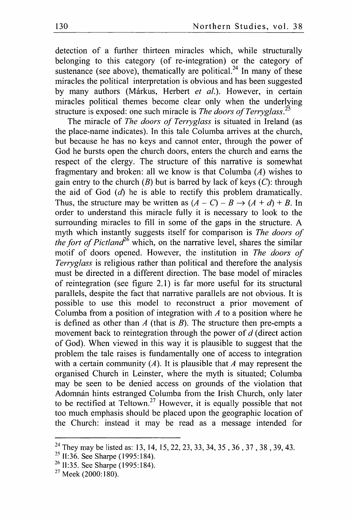detection of a further thirteen miracles which, while structurally belonging to this category (of re-integration) or the category of sustenance (see above), thematically are political.<sup>24</sup> In many of these miracles the political interpretation is obvious and has been suggested by many authors (Markus, Herbert *et al.).* However, in certain miracles political themes become clear only when the underlying structure is exposed: one such miracle is *The doors of Terryglass*.<sup>25</sup>

The miracle of *The doors of Terryglass* is situated in Ireland (as the place-name indicates). In this tale Columba arrives at the church, but because he has no keys and cannot enter, through the power of God he bursts open the church doors, enters the church and earns the respect of the clergy. The structure of this narrative is somewhat fragmentary and broken: all we know is that Columba (A) wishes to gain entry to the church  $(B)$  but is barred by lack of keys  $(C)$ : through the aid of God  $(d)$  he is able to rectify this problem dramatically. Thus, the structure may be written as  $(A - C) - B \rightarrow (A + d) + B$ . In order to understand this miracle fully it is necessary to look to the surrounding miracles to fill in some of the gaps in the structure. A myth which instantly suggests itself for comparison is *The doors oj the fort of Pictland*<sup>26</sup> which, on the narrative level, shares the similar motif of doors opened. However, the institution in *The doors oj Terryglass* is religious rather than political and therefore the analysis must be directed in a different direction. The base model of miracles of reintegration (see figure 2.1) is far more useful for its structural parallels, despite the fact that narrative parallels are not obvious. It is possible to use this model to reconstruct a prior movement of Columba from a position of integration with *A* to a position where he is defined as other than  $A$  (that is  $B$ ). The structure then pre-empts a movement back to reintegration through the power of *d* (direct action of God). When viewed in this way it is plausible to suggest that the problem the tale raises is fundamentally one of access to integration with a certain community  $(A)$ . It is plausible that A may represent the organised Church in Leinster, where the myth is situated; Columba may be seen to be denied access on grounds of the violation that Adomnán hints estranged Columba from the Irish Church, only later to be rectified at Teltown.<sup>27</sup> However, it is equally possible that not too much emphasis should be placed upon the geographic location of the Church: instead it may be read as a message intended for

<sup>&</sup>lt;sup>24</sup> They may be listed as: 13, 14, 15, 22, 23, 33, 34, 35, 36, 37, 38, 39, 43.

<sup>25</sup> 11:36. See Sharpe (1995: 184).

<sup>26</sup> 11:35. See Sharpe (1995: 184).

 $27$  Meek (2000:180).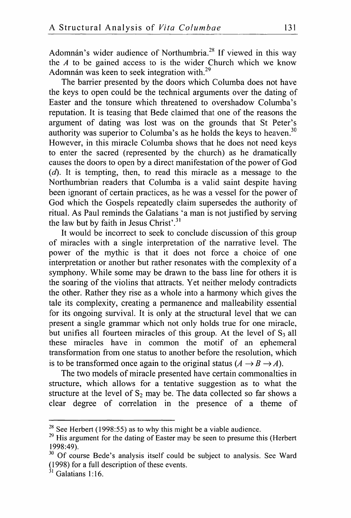Adomnán's wider audience of Northumbria.<sup>28</sup> If viewed in this way the *A* to be gained access to is the wider Church which we know Adomnán was keen to seek integration with. $29$ 

The barrier presented by the doors which Columba does not have the keys to open could be the technical arguments over the dating of Easter and the tonsure which threatened to overshadow Columba's reputation. It is teasing that Bede claimed that one of the reasons the argument of dating was lost was on the grounds that St Peter's authority was superior to Columba's as he holds the keys to heaven.<sup>30</sup> However, in this miracle Columba shows that he does not need keys to enter the sacred (represented by the church) as he dramatically causes the doors to open by a direct manifestation of the power of God  $(d)$ . It is tempting, then, to read this miracle as a message to the Northumbrian readers that Columba is a valid saint despite having been ignorant of certain practices, as he was a vessel for the power of God which the Gospels repeatedly claim supersedes the authority of ritual. As Paul reminds the Galatians 'a man is not justified by serving the law but by faith in Jesus Christ'.<sup>31</sup>

It would be incorrect to seek to conclude discussion of this group of miracles with a single interpretation of the narrative level. The power of the mythic is that it does not force a choice of one interpretation or another but rather resonates with the complexity of a symphony. While some may be drawn to the bass line for others it is the soaring of the violins that attracts. Yet neither melody contradicts the other. Rather they rise as a whole into a harmony which gives the tale its complexity, creating a pennanence and malleability essential for its ongoing survival. It is only at the structural level that we can present a single grammar which not only holds true for one miracle, but unifies all fourteen miracles of this group. At the level of  $S_3$  all these miracles have in common the motif of an ephemeral transformation from one status to another before the resolution, \vhich is to be transformed once again to the original status  $(A \rightarrow B \rightarrow A)$ .

The two models of miracle presented have certain commonalties in structure, which allows for a tentative suggestion as to what the structure at the level of  $S_2$  may be. The data collected so far shows a clear degree of correlation in the presence of a theme of

<sup>&</sup>lt;sup>28</sup> See Herbert (1998:55) as to why this might be a viable audience.

<sup>&</sup>lt;sup>29</sup> His argument for the dating of Easter may be seen to presume this (Herbert 1998:49).

 $30$  Of course Bede's analysis itself could be subject to analysis. See Ward  $(1998)$  for a full description of these events.

 $31$  Galatians 1:16.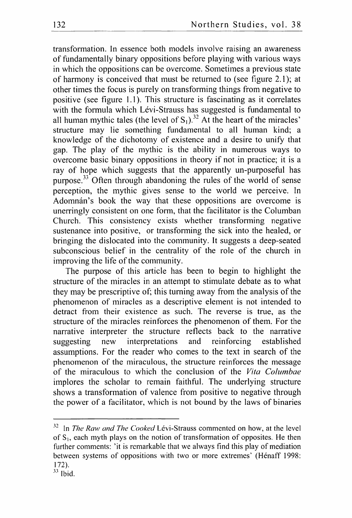transformation. In essence both models involve raising an awareness of fundamentally binary oppositions before playing with various ways in which the oppositions can be overcome. Sometimes a previous state of harmony is conceived that must be returned to (see figure 2.1); at other times the focus is purely on transforming things from negative to positive (see figure 1.1). This structure is fascinating as it correlates with the formula which Lévi-Strauss has suggested is fundamental to all human mythic tales (the level of  $S_1$ ).<sup>32</sup> At the heart of the miracles' structure may lie something fundamental to all human kind; a knowledge of the dichotomy of existence and a desire to unify that gap. The play of the mythic is the ability in numerous ways to overcome basic binary oppositions in theory if not in practice; it is a ray of hope which suggests that the apparently un-purposeful has purpose.<sup>33</sup> Often through abandoning the rules of the world of sense perception, the mythic gives sense to the world we perceive. In Adomnán's book the way that these oppositions are overcome is unerringly consistent on one form, that the facilitator is the Columban Church. This consistency exists whether transfonning negative sustenance into positive, or transforming the sick into the healed, or bringing the dislocated into the community. It suggests a deep-seated subconscious belief in the centrality of the role of the church in improving the life of the community.

The purpose of this article has been to begin to highlight the structure of the miracles in an attempt to stimulate debate as to what they may be prescriptive of; this turning away from the analysis of the phenomenon of miracles as a descriptive element is not intended to detract from their existence as such. The reverse is true, as the structure of the miracles reinforces the phenomenon of them. For the narrative interpreter the structure reflects back to the narrative suggesting new interpretations and reinforcing established assumptions. For the reader who comes to the text in search of the phenomenon of the miraculous, the structure reinforces the message of the Iniraculous to which the conclusion of the *Vita Columbae* implores the scholar to remain faithful. The underlying structure shows a transformation of valence from positive to negative through the power of a facilitator, which is not bound by the laws of binaries

<sup>&</sup>lt;sup>32</sup> In *The Raw and The Cooked* Lévi-Strauss commented on how, at the level of  $S_1$ , each myth plays on the notion of transformation of opposites. He then further comments: 'it is remarkable that we always find this play of mediation between systems of oppositions with two or more extremes' (Hénaff 1998: 172).

 $33$  Ibid.